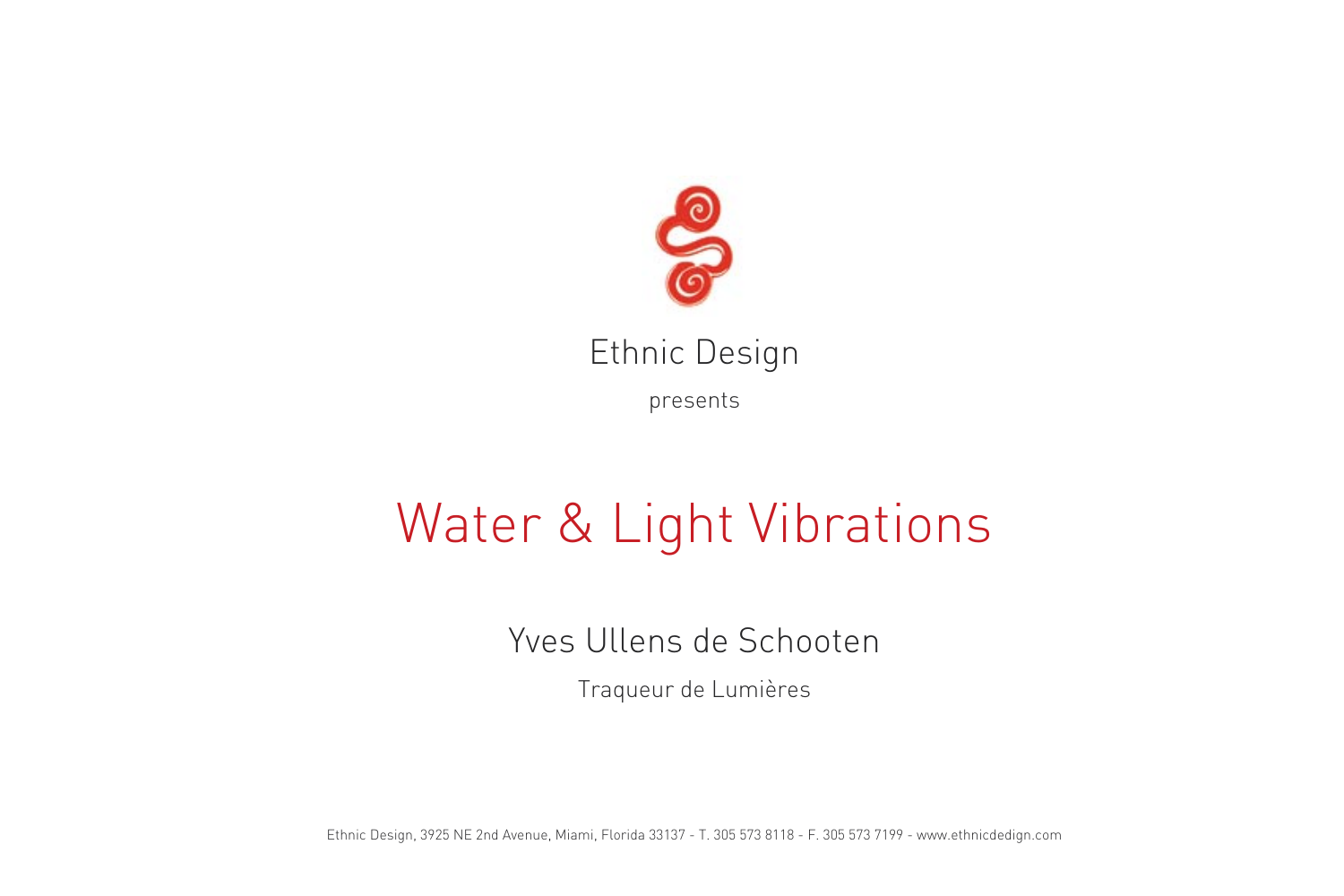

presents

# Water & Light Vibrations

Yves Ullens de Schooten

Traqueur de Lumières

Ethnic Design, 3925 NE 2nd Avenue, Miami, Florida 33137 - T. 305 573 8118 - F. 305 573 7199 - www.ethnicdedign.com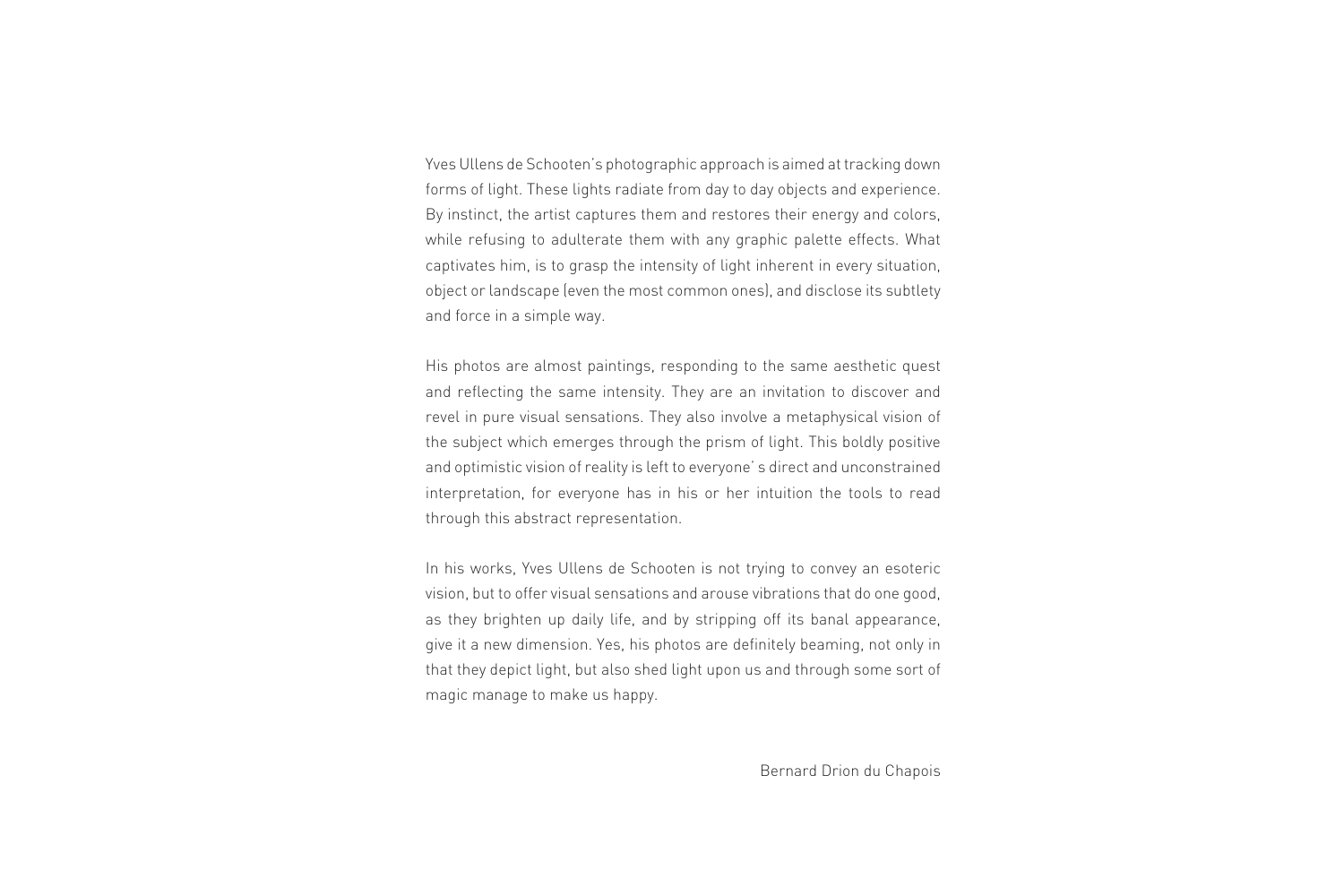Yves Ullens de Schooten's photographic approach is aimed at tracking down forms of light. These lights radiate from day to day objects and experience. By instinct, the artist captures them and restores their energy and colors, while refusing to adulterate them with any graphic palette effects. What captivates him, is to grasp the intensity of light inherent in every situation, object or landscape (even the most common ones), and disclose its subtlety and force in a simple way.

His photos are almost paintings, responding to the same aesthetic quest and reflecting the same intensity. They are an invitation to discover and revel in pure visual sensations. They also involve a metaphysical vision of the subject which emerges through the prism of light. This boldly positive and optimistic vision of reality is left to everyone' s direct and unconstrained interpretation, for everyone has in his or her intuition the tools to read through this abstract representation.

In his works, Yves Ullens de Schooten is not trying to convey an esoteric vision, but to offer visual sensations and arouse vibrations that do one good, as they brighten up daily life, and by stripping off its banal appearance, give it a new dimension. Yes, his photos are definitely beaming, not only in that they depict light, but also shed light upon us and through some sort of magic manage to make us happy.

Bernard Drion du Chapois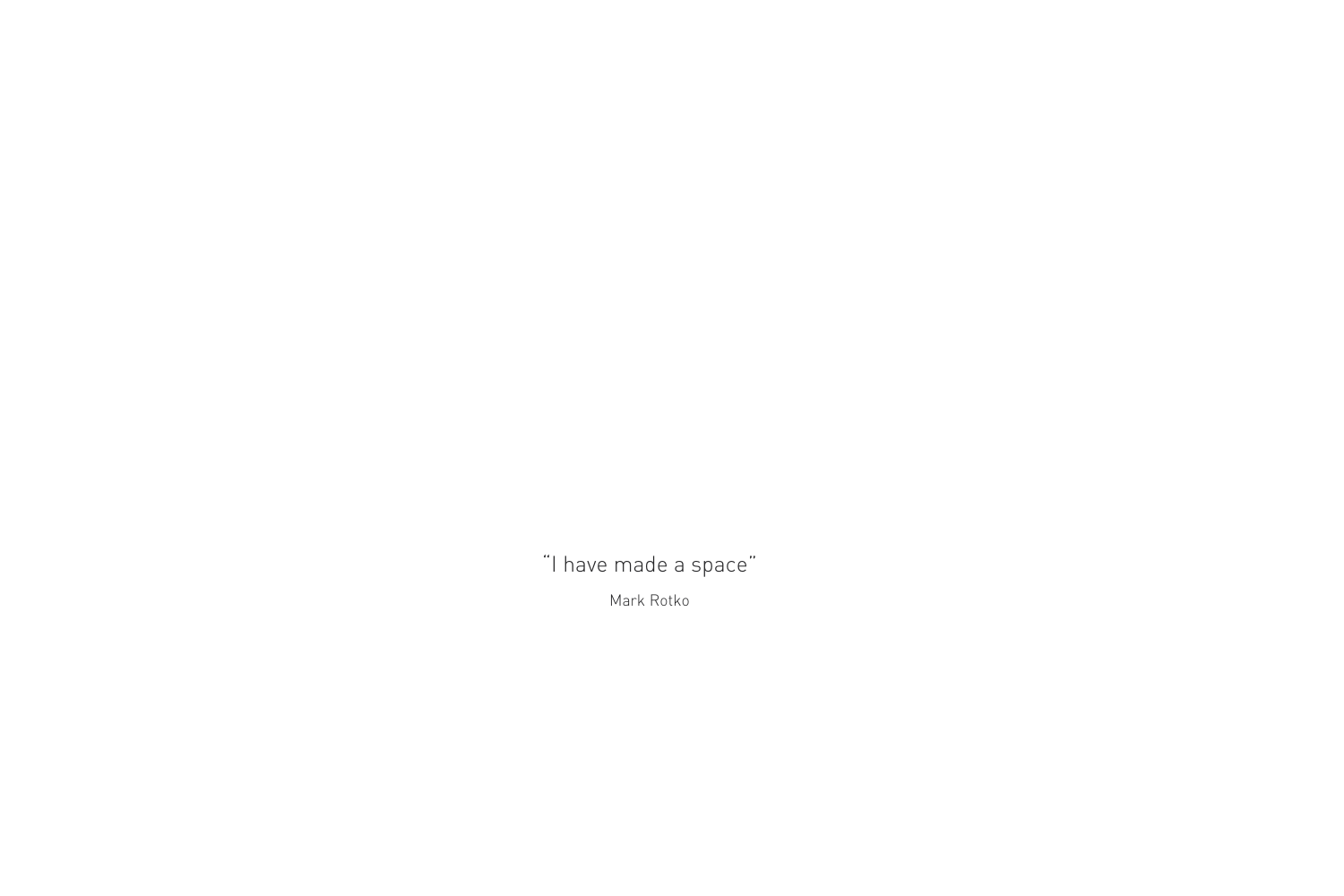"I have made a space"

Mark Rotko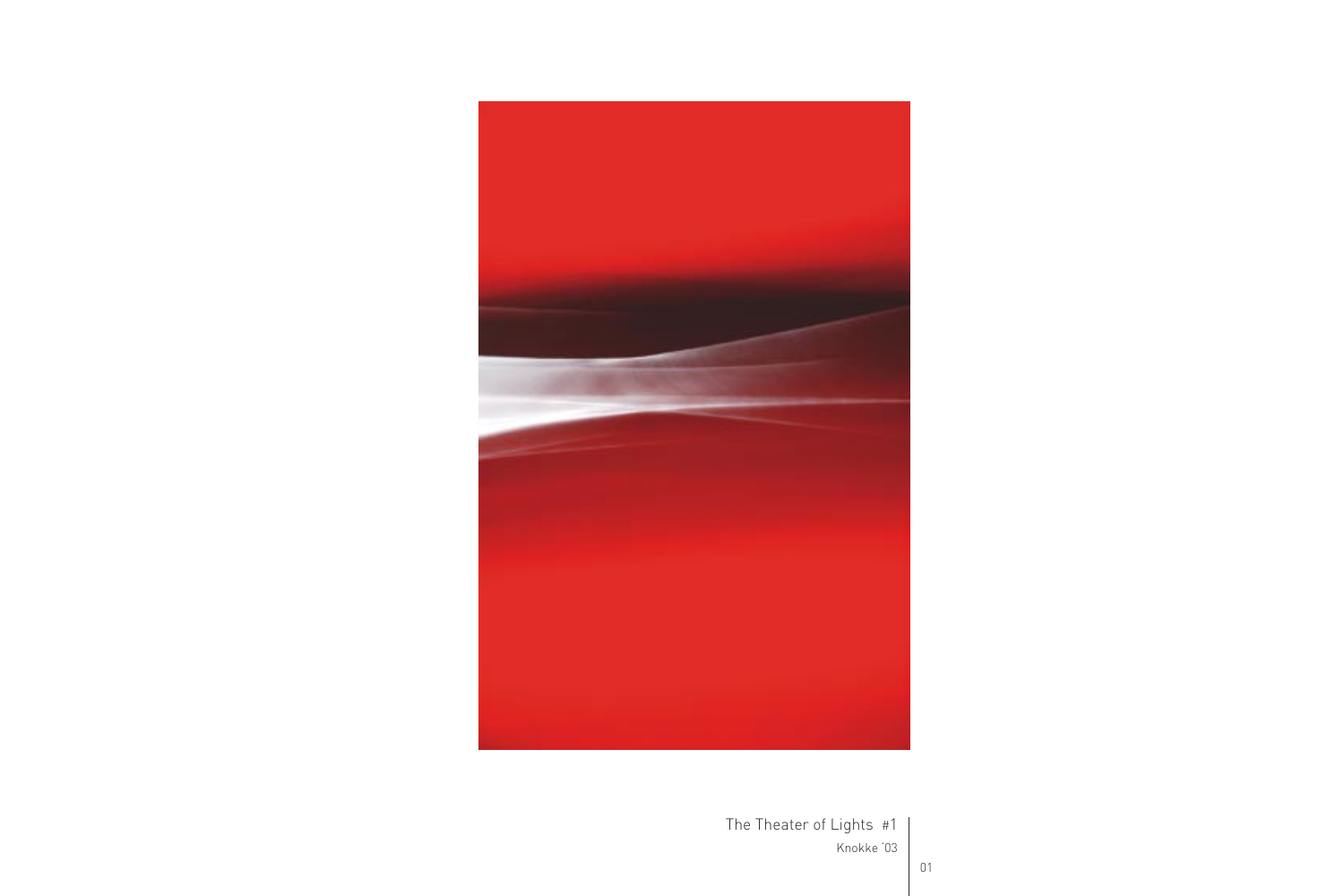

The Theater of Lights #1 Knokke '03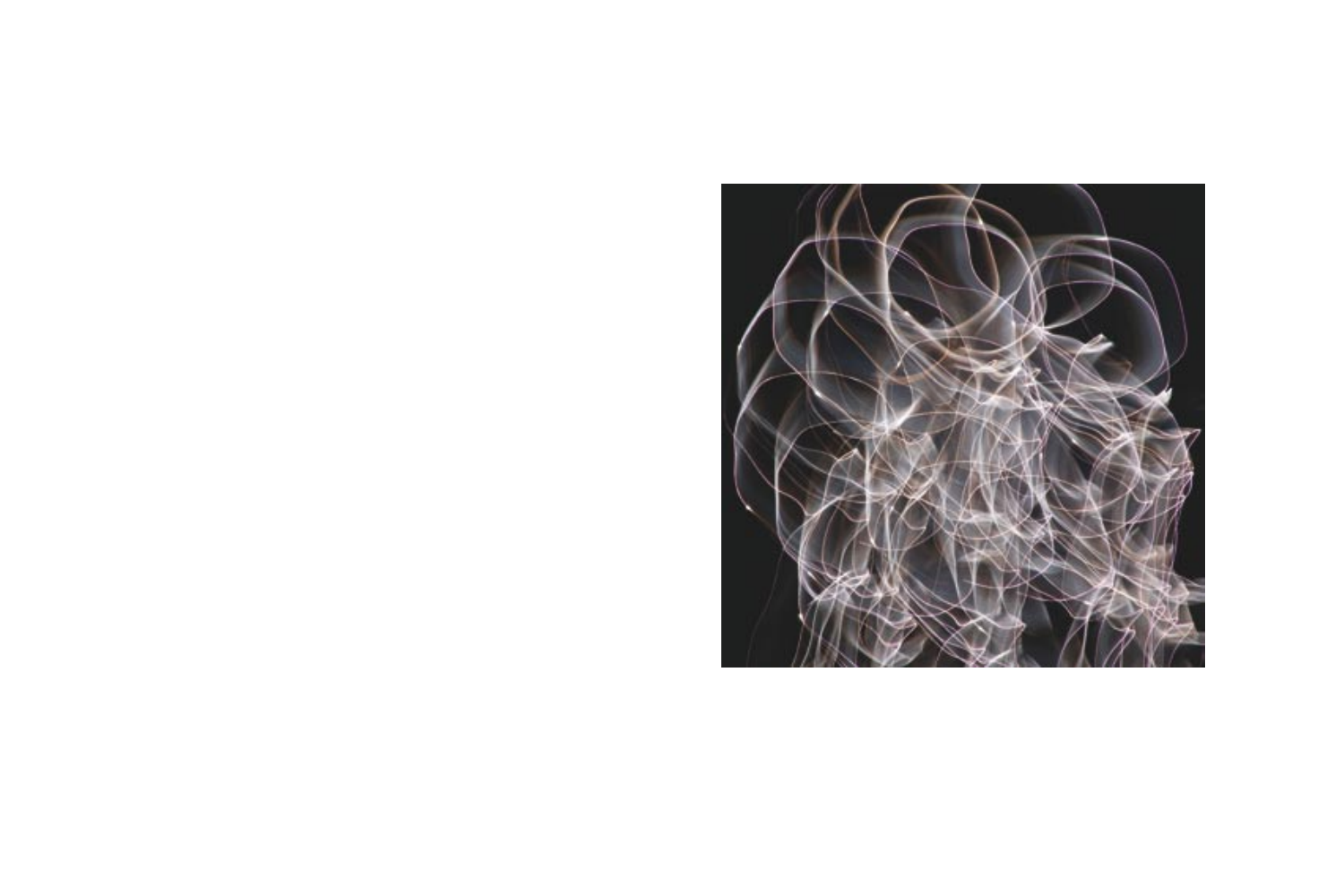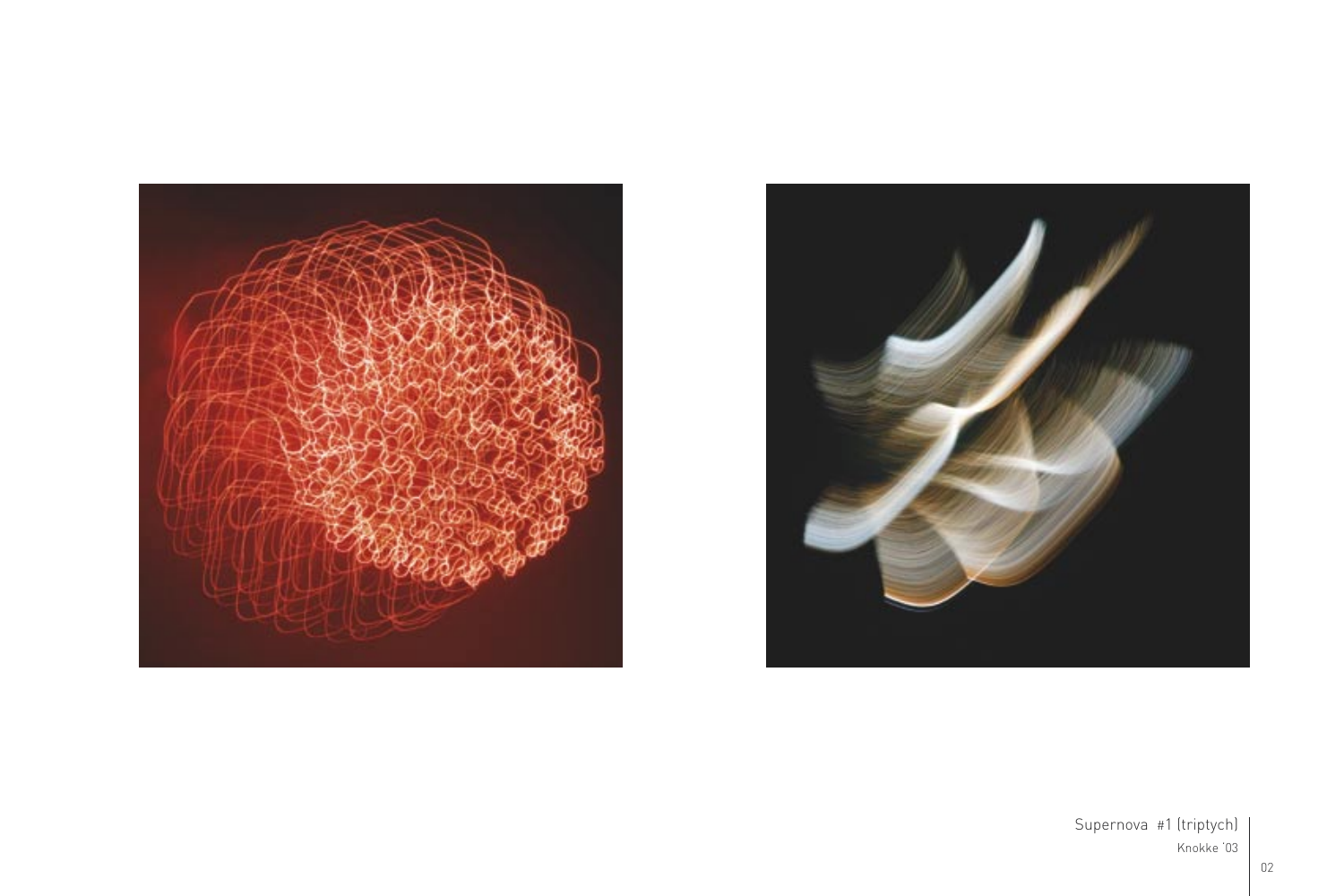



Supernova #1 (triptych) Knokke '03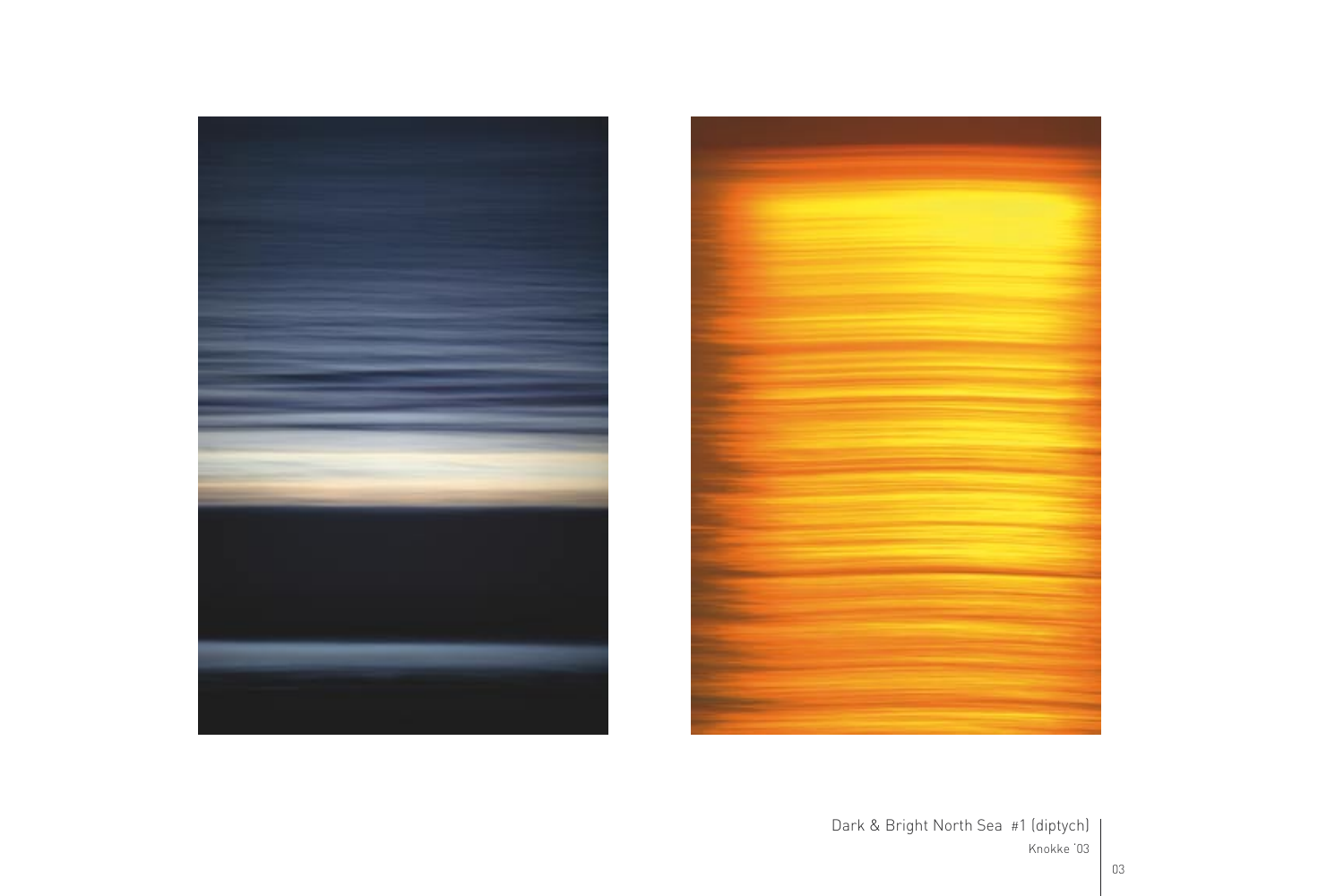



Dark & Bright North Sea #1 (diptych) Knokke '03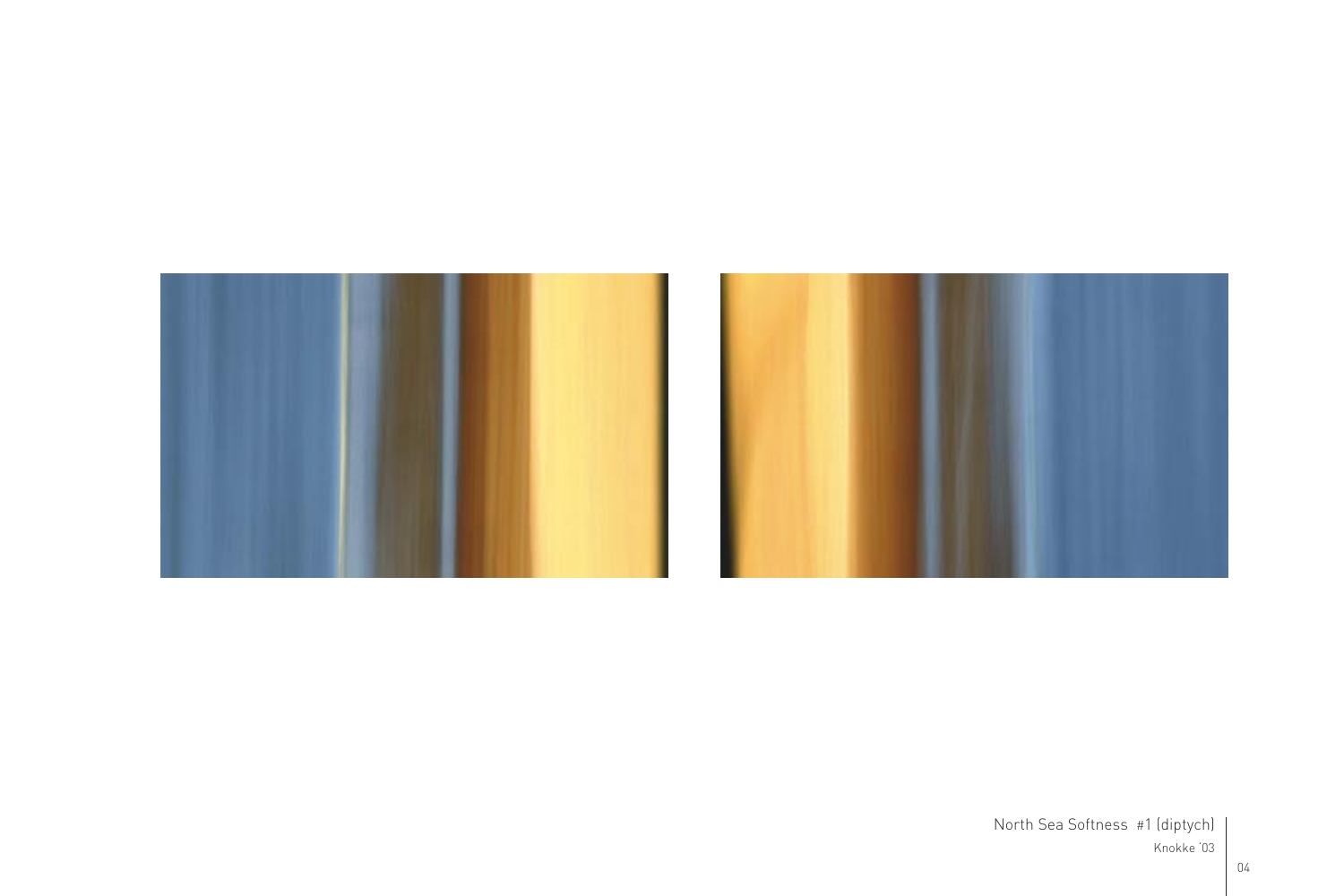



North Sea Softness #1 (diptych) Knokke '03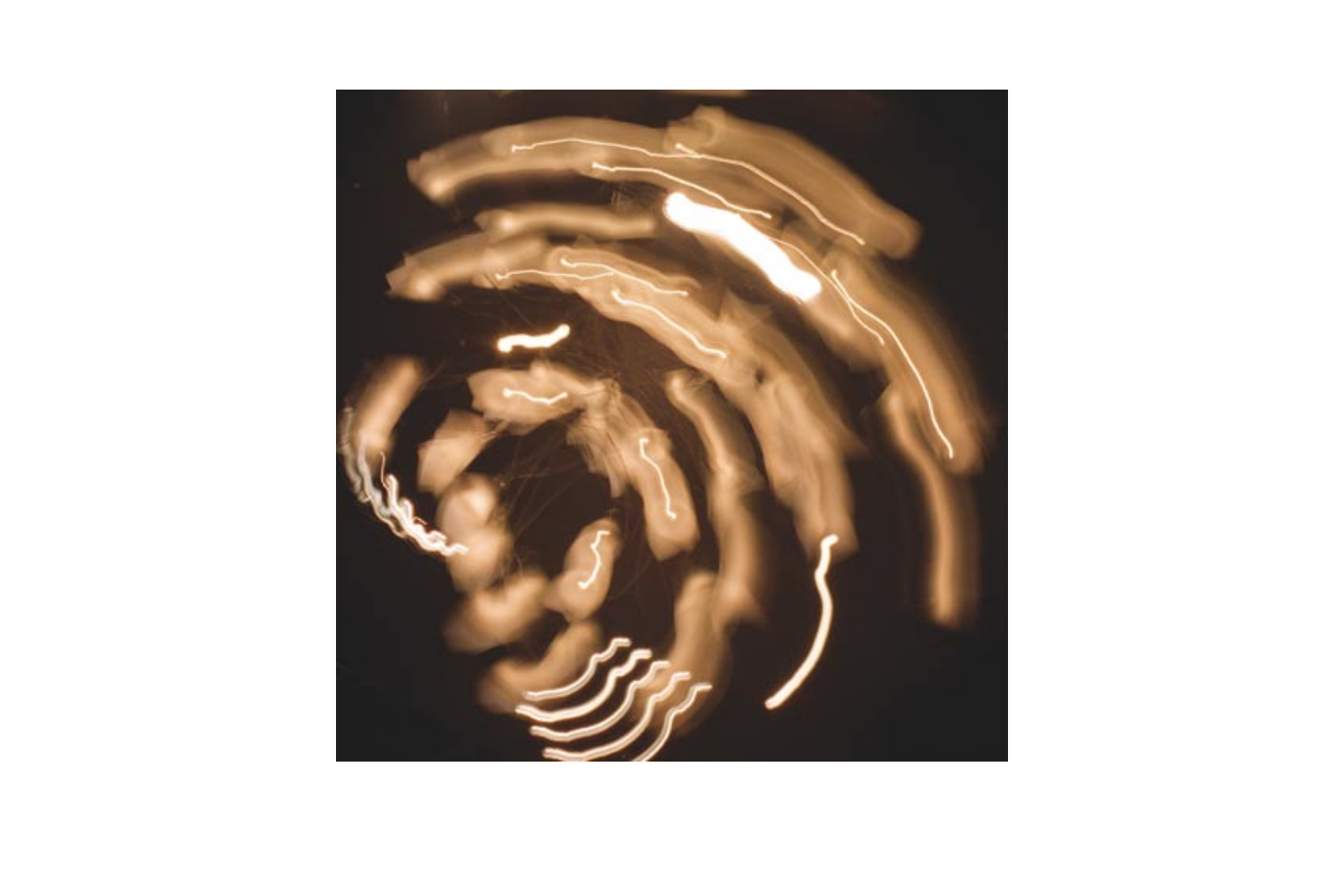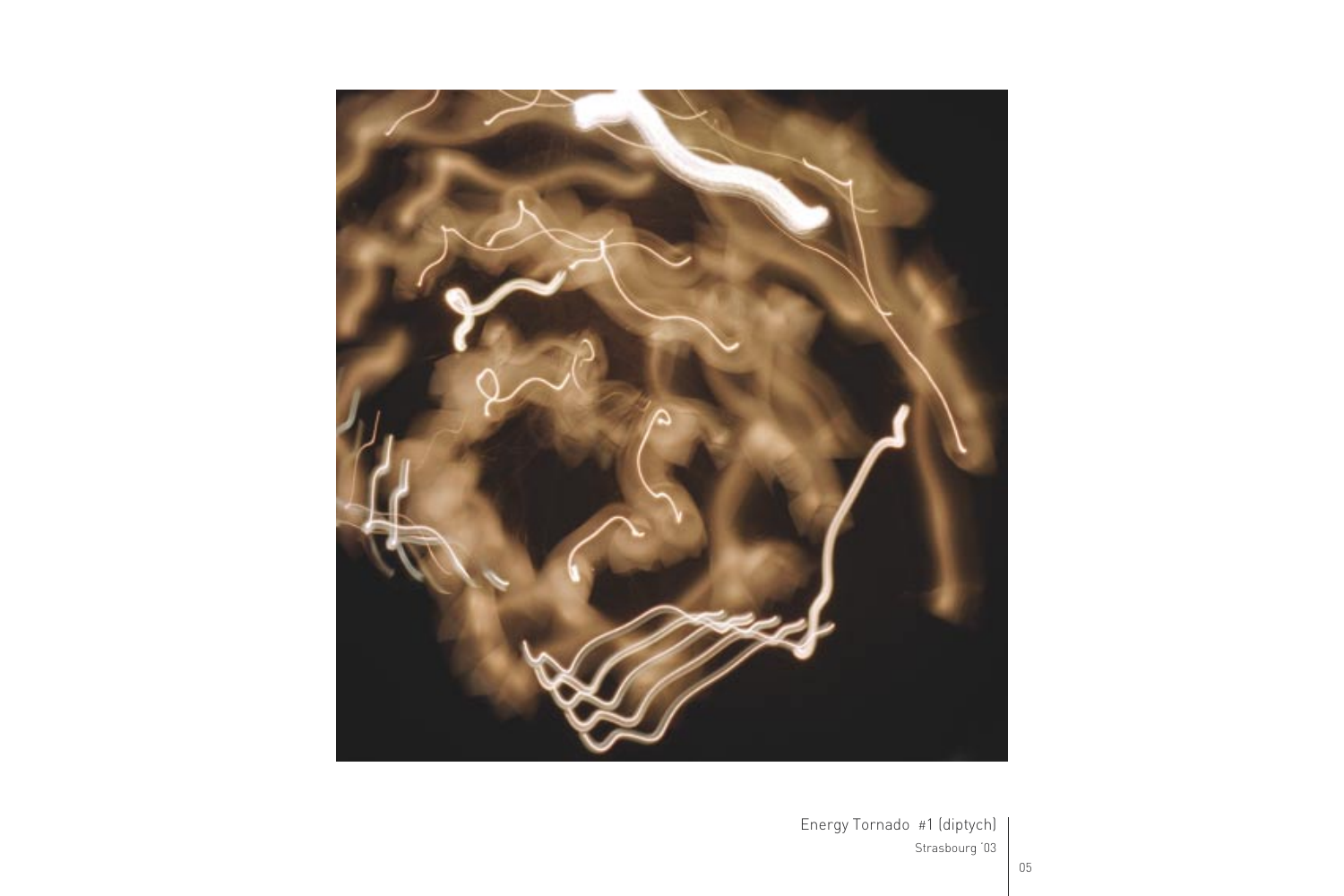

Energy Tornado #1 (diptych) Strasbourg '03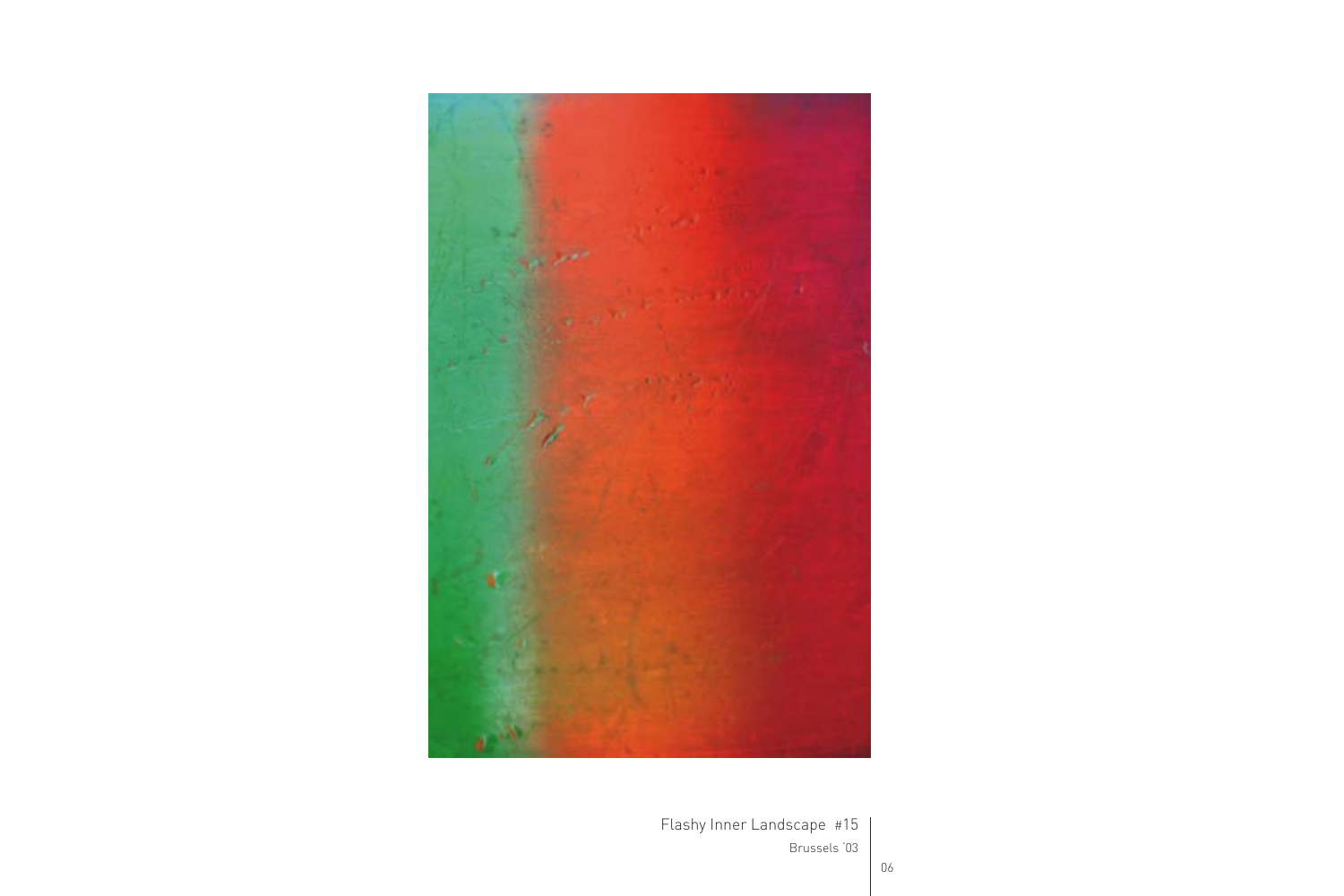

Flashy Inner Landscape #15 Brussels '03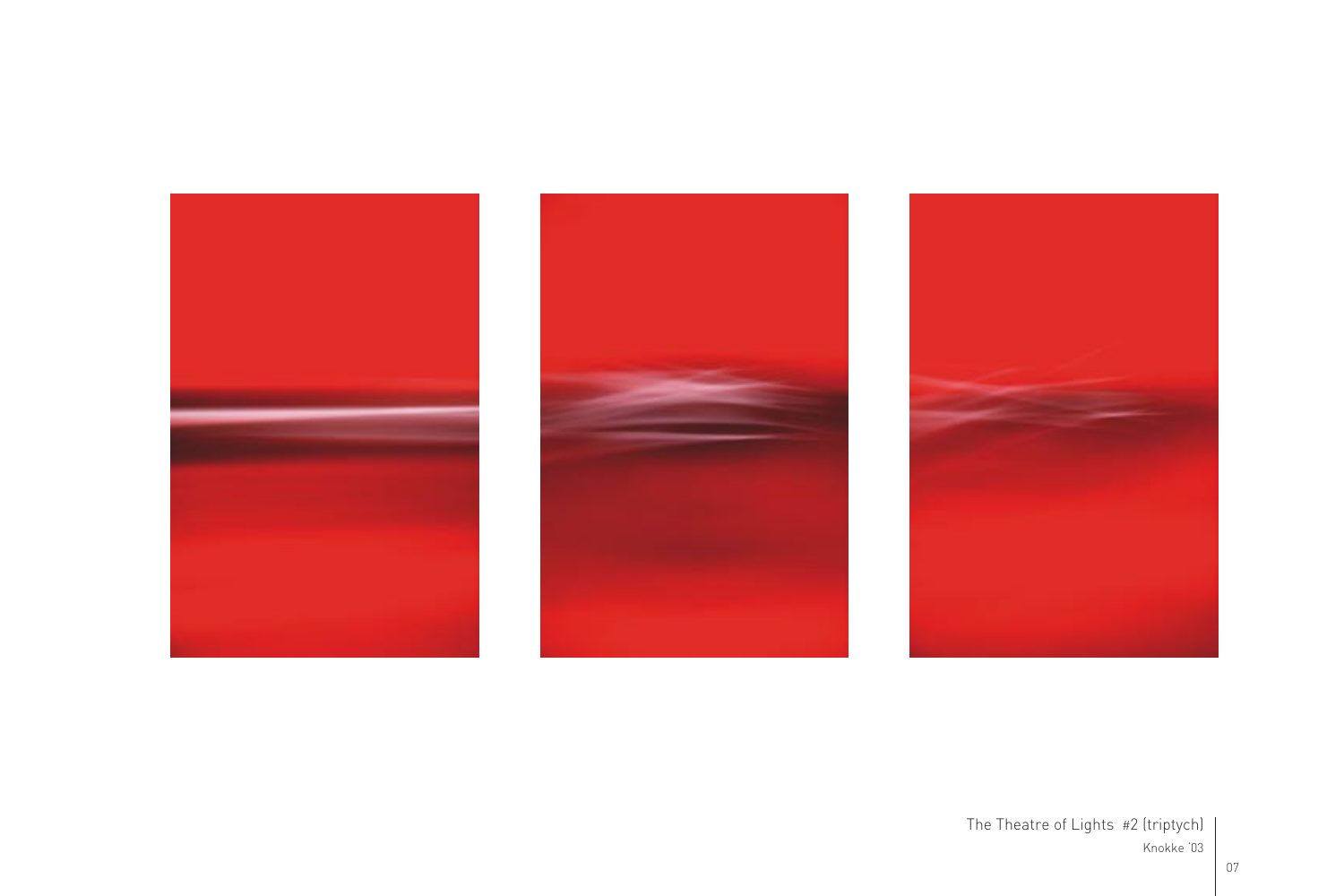





The Theatre of Lights #2 (triptych) | Knokke '03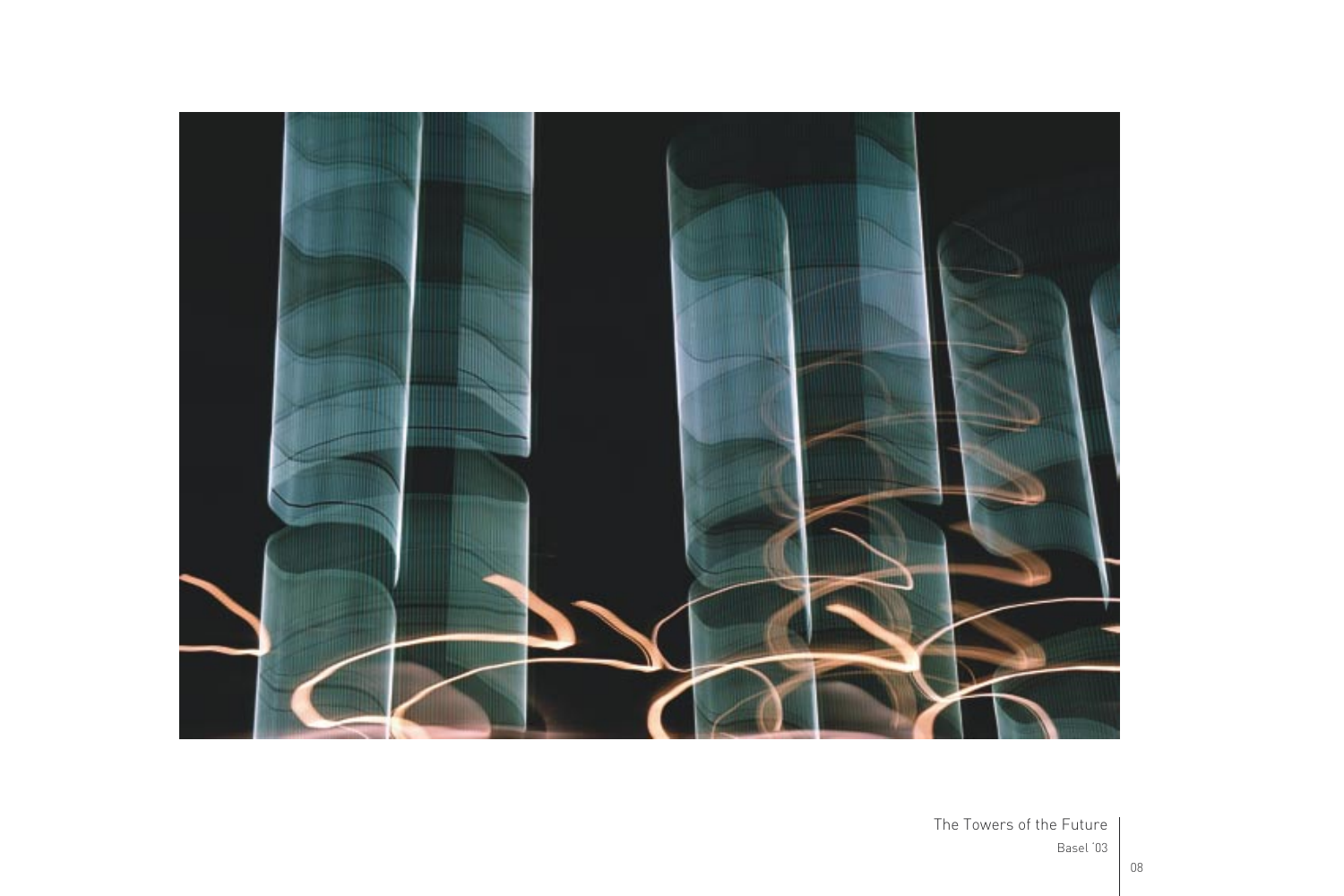

The Towers of the Future Basel '03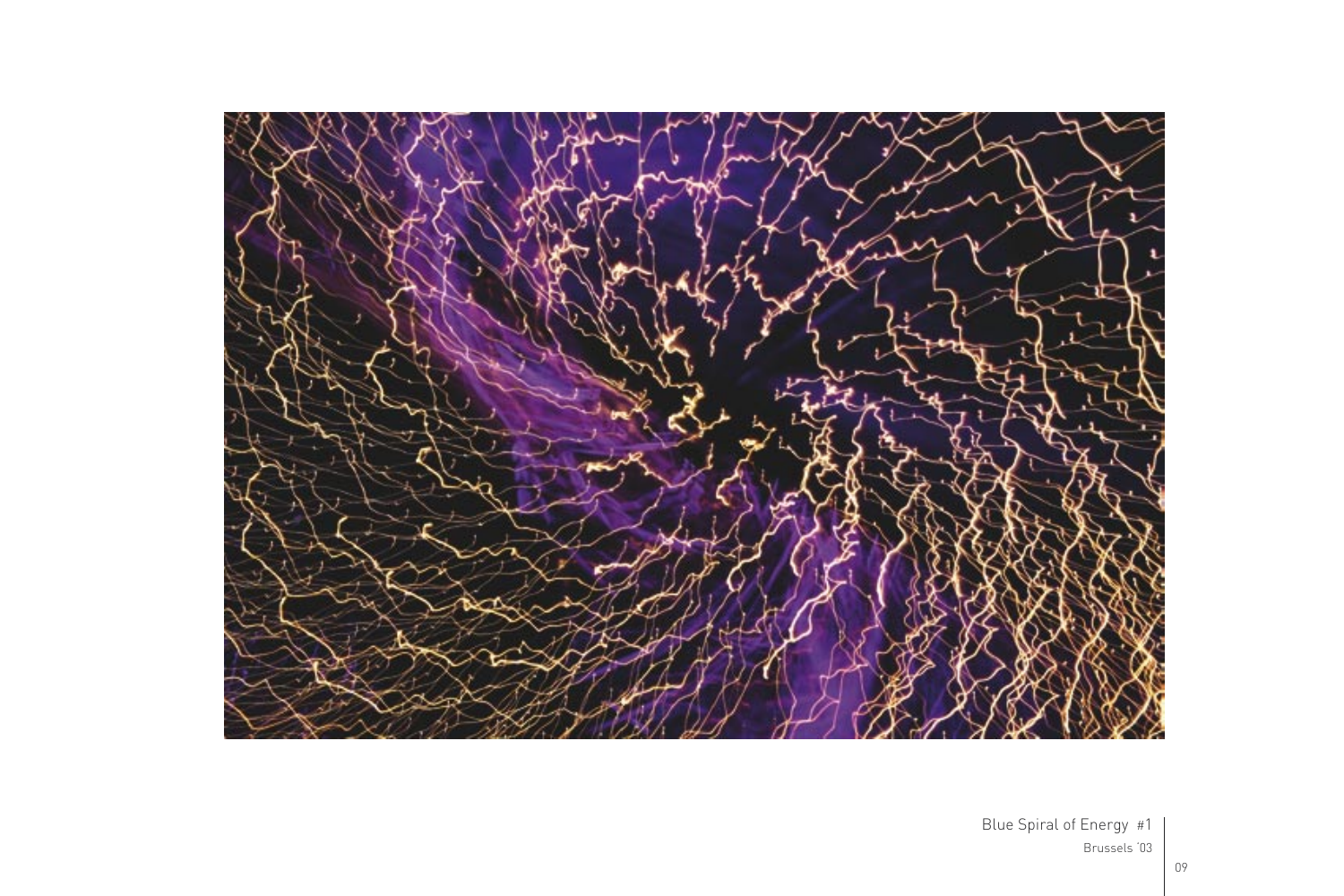

Blue Spiral of Energy #1 Brussels '03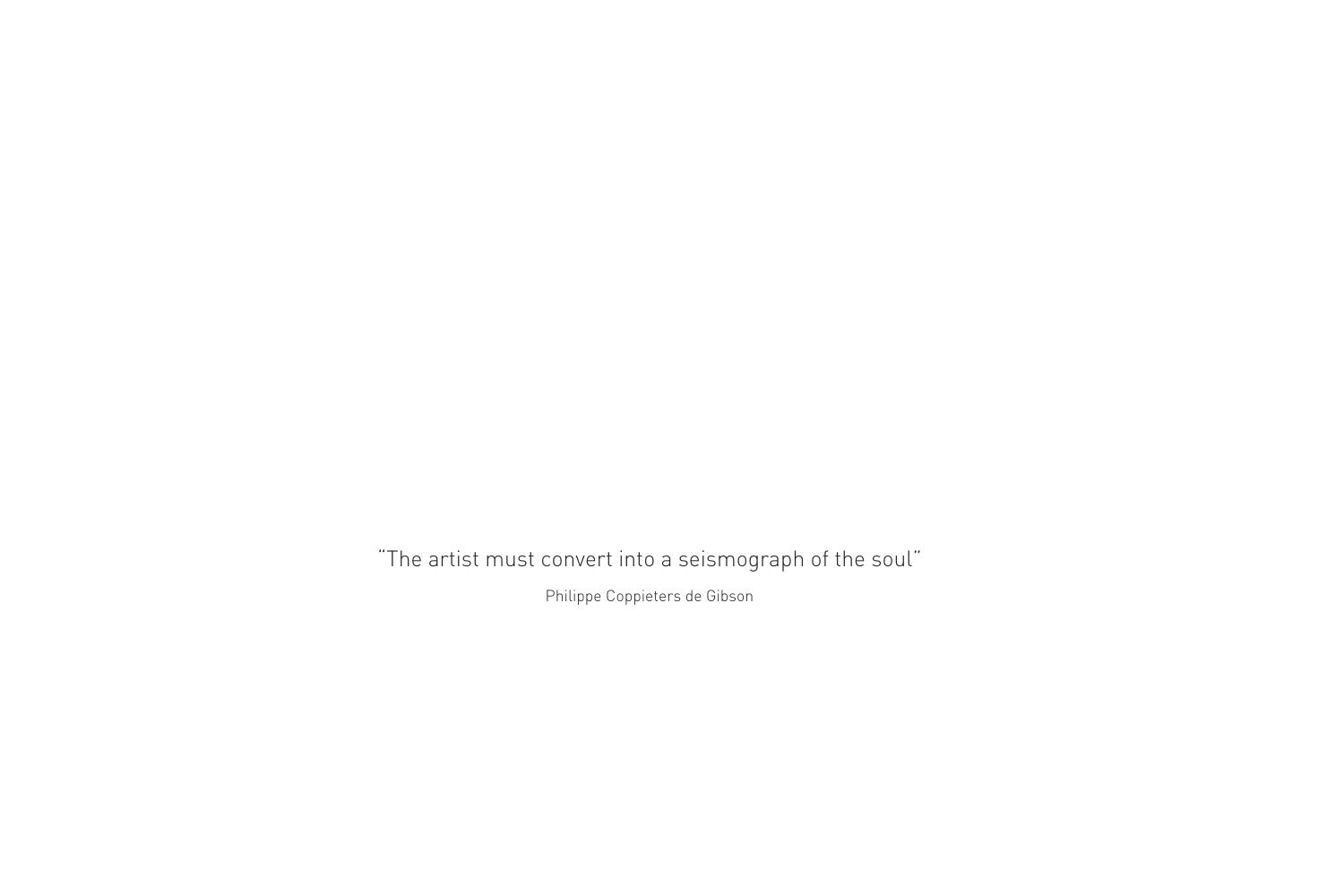"The artist must convert into a seismograph of the soul"

Philippe Coppieters de Gibson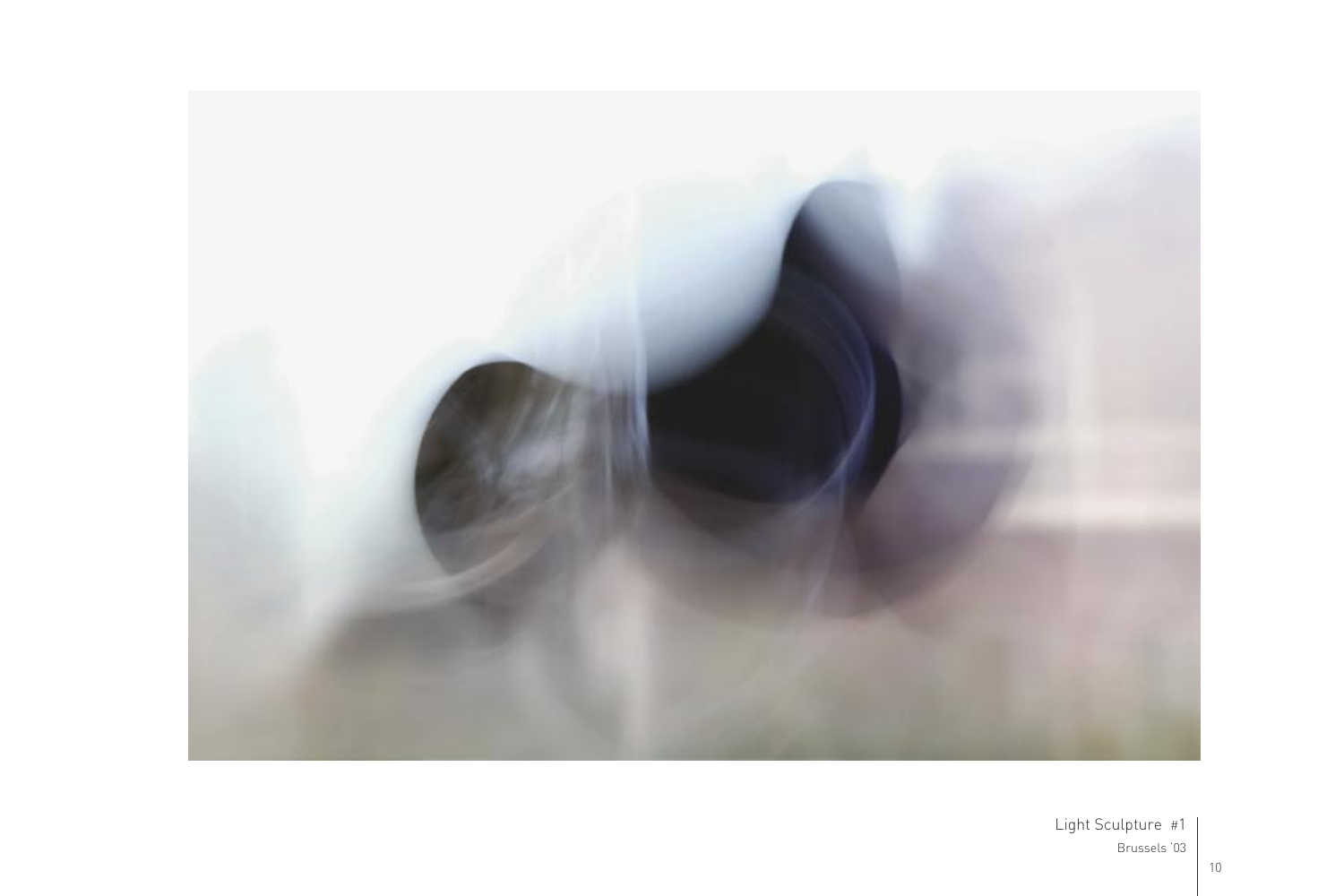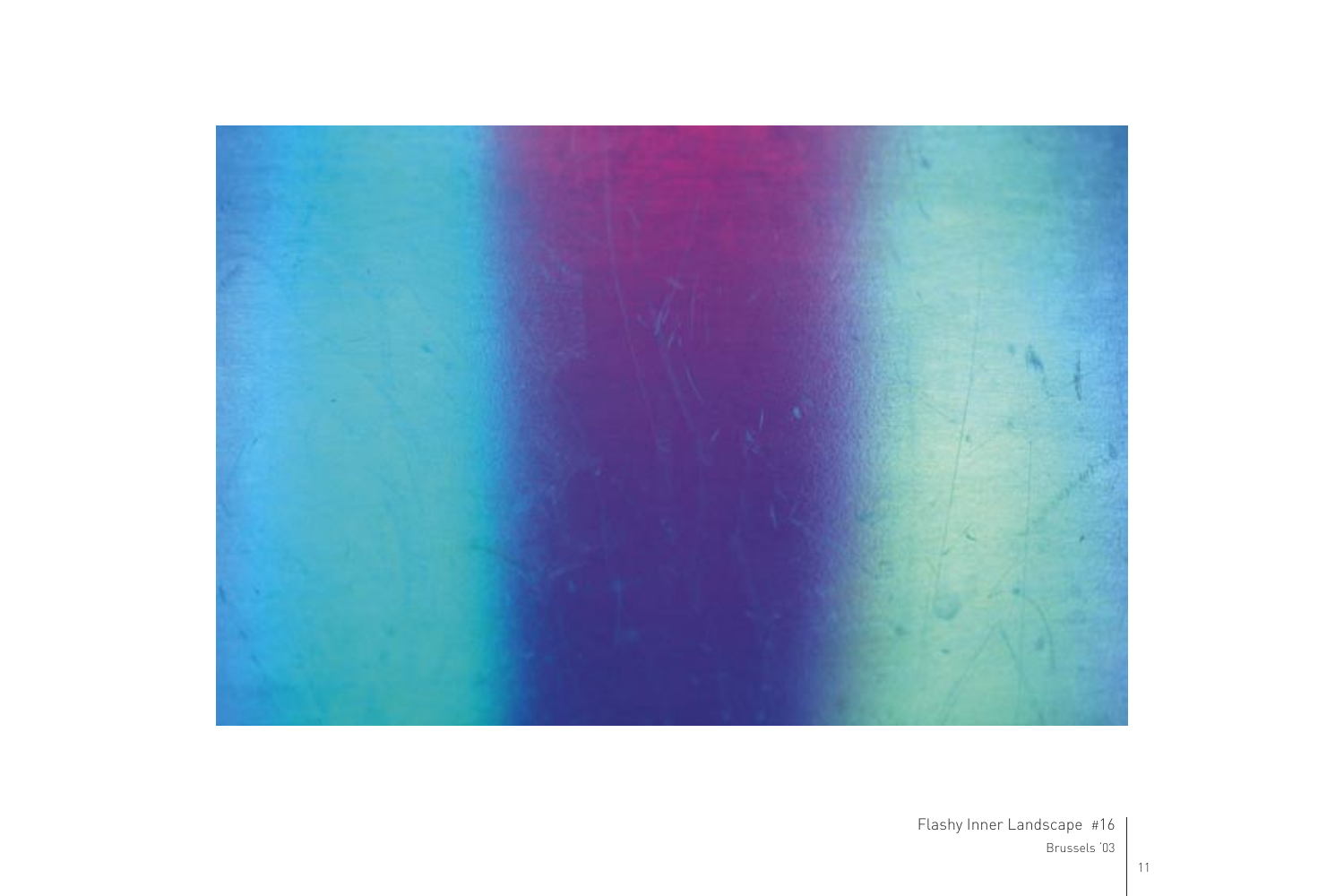

Flashy Inner Landscape #16 Brussels '03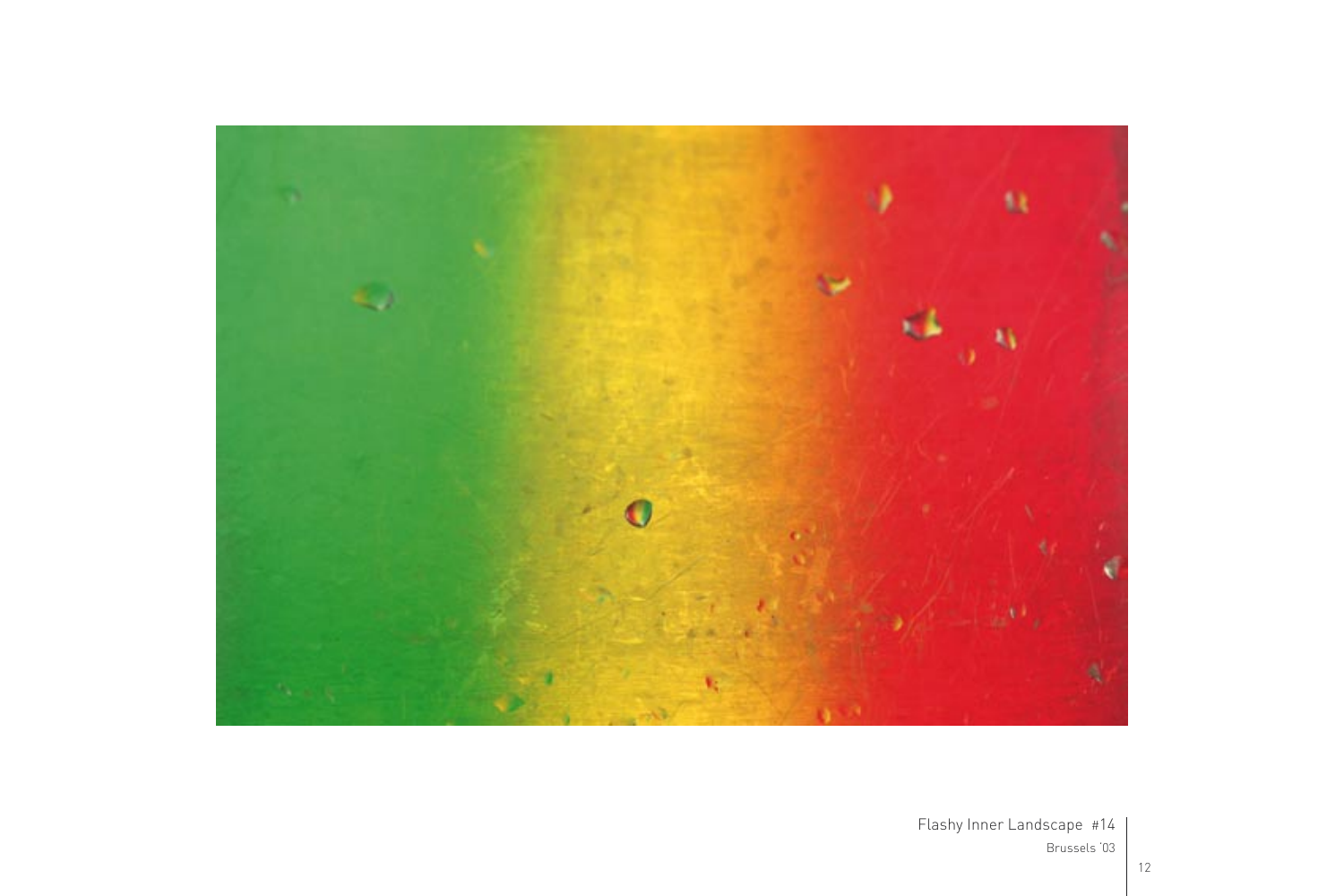

Flashy Inner Landscape #14 Brussels '03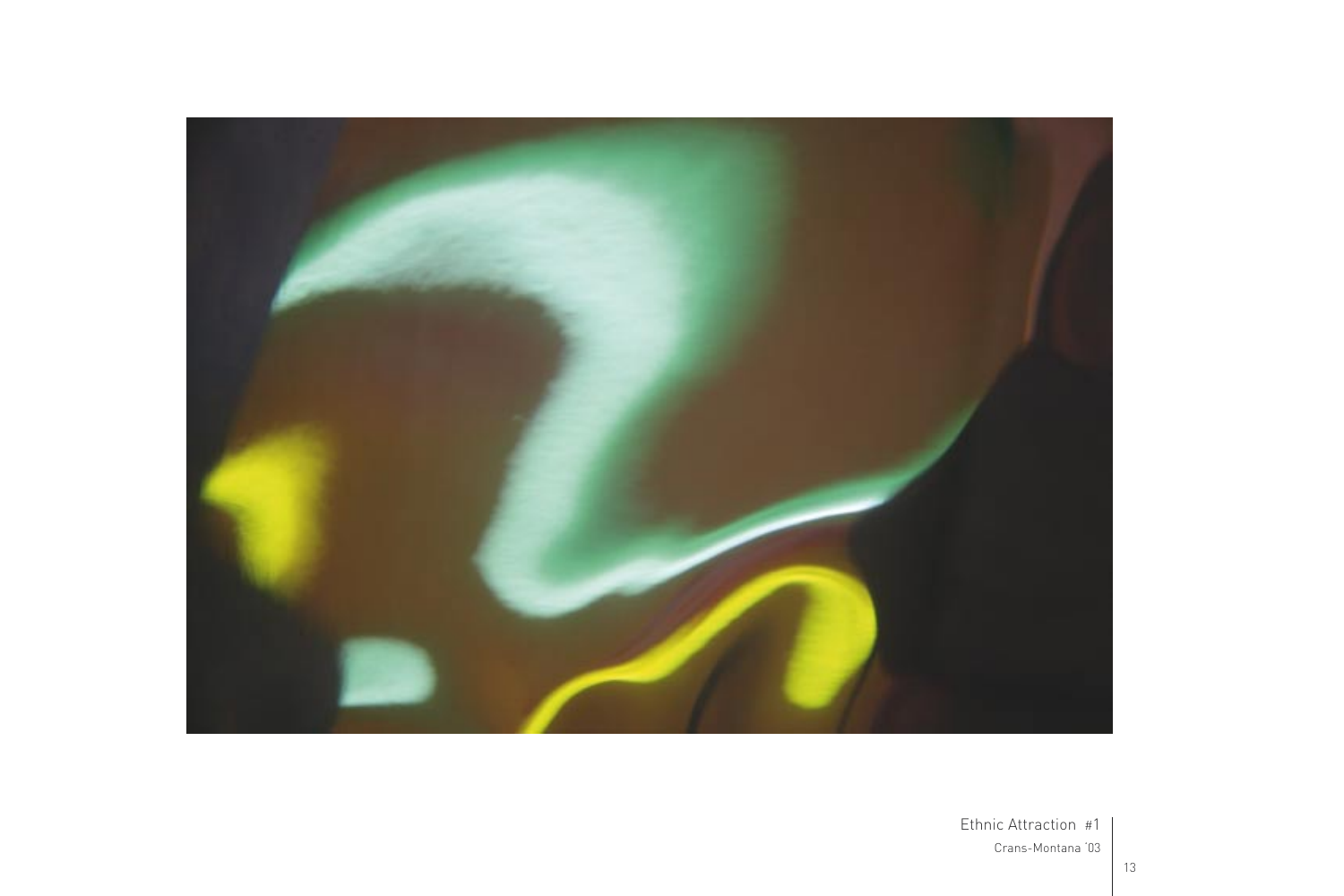

Ethnic Attraction #1 Crans-Montana '03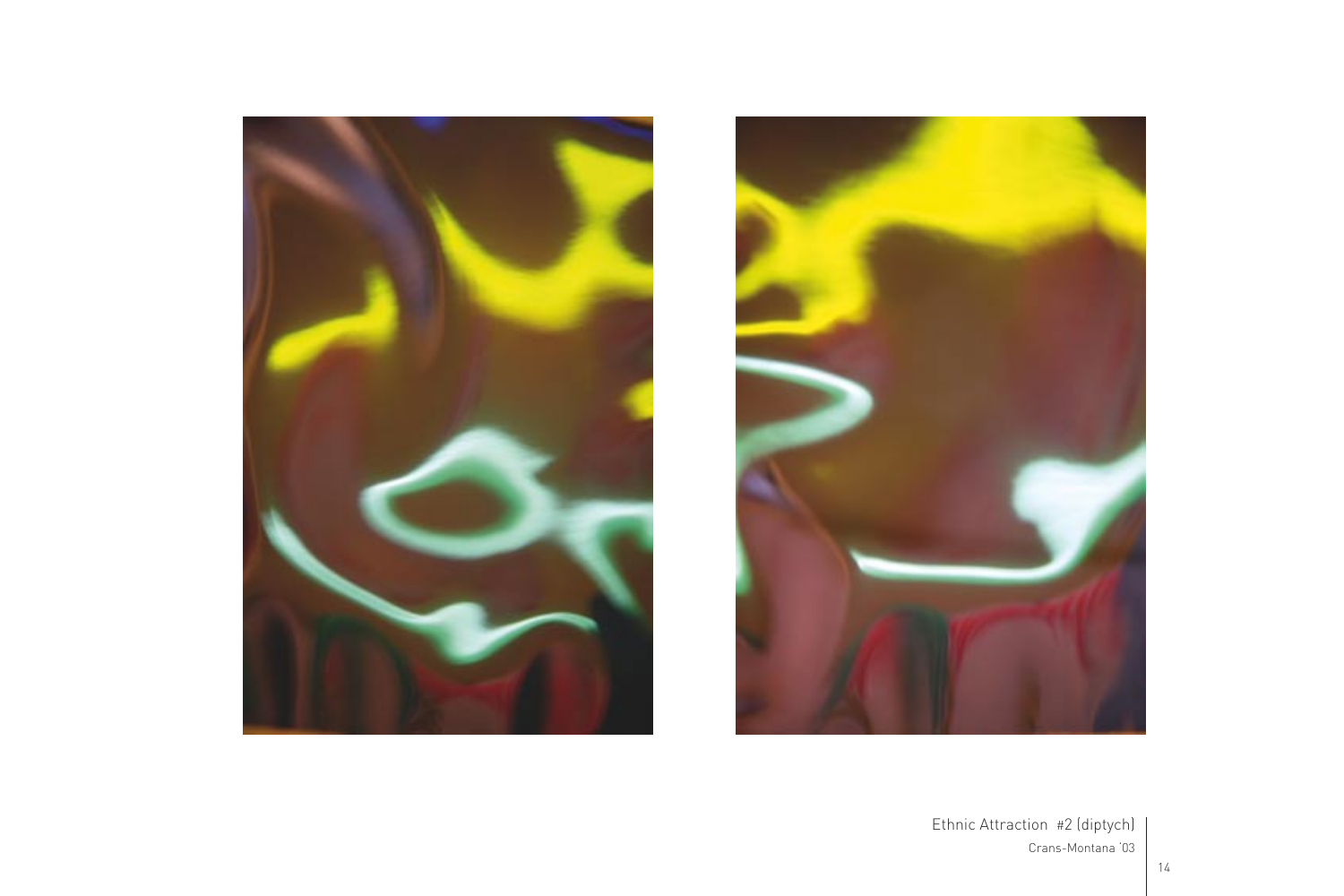



Ethnic Attraction #2 (diptych) Crans-Montana '03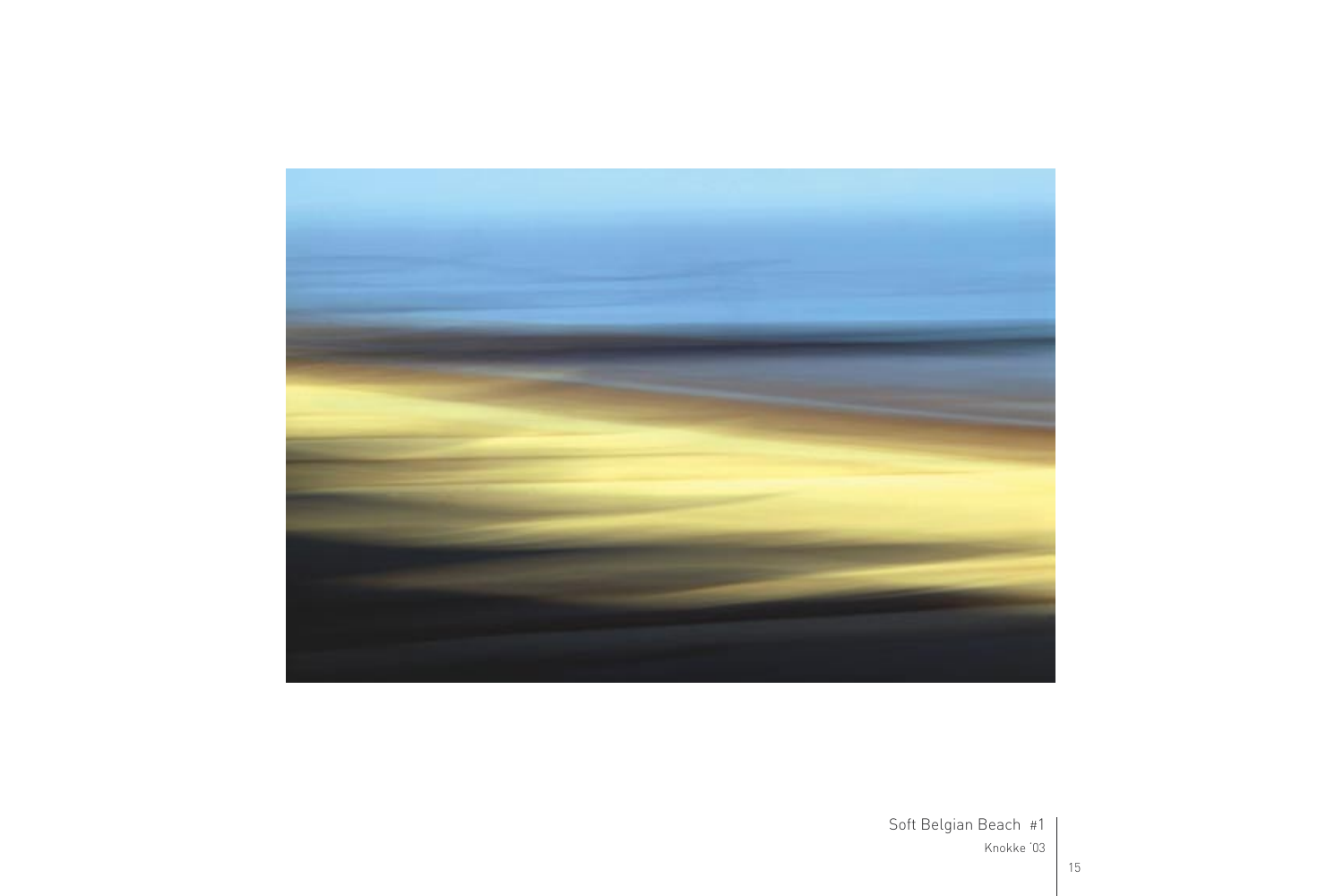

Soft Belgian Beach #1 Knokke '03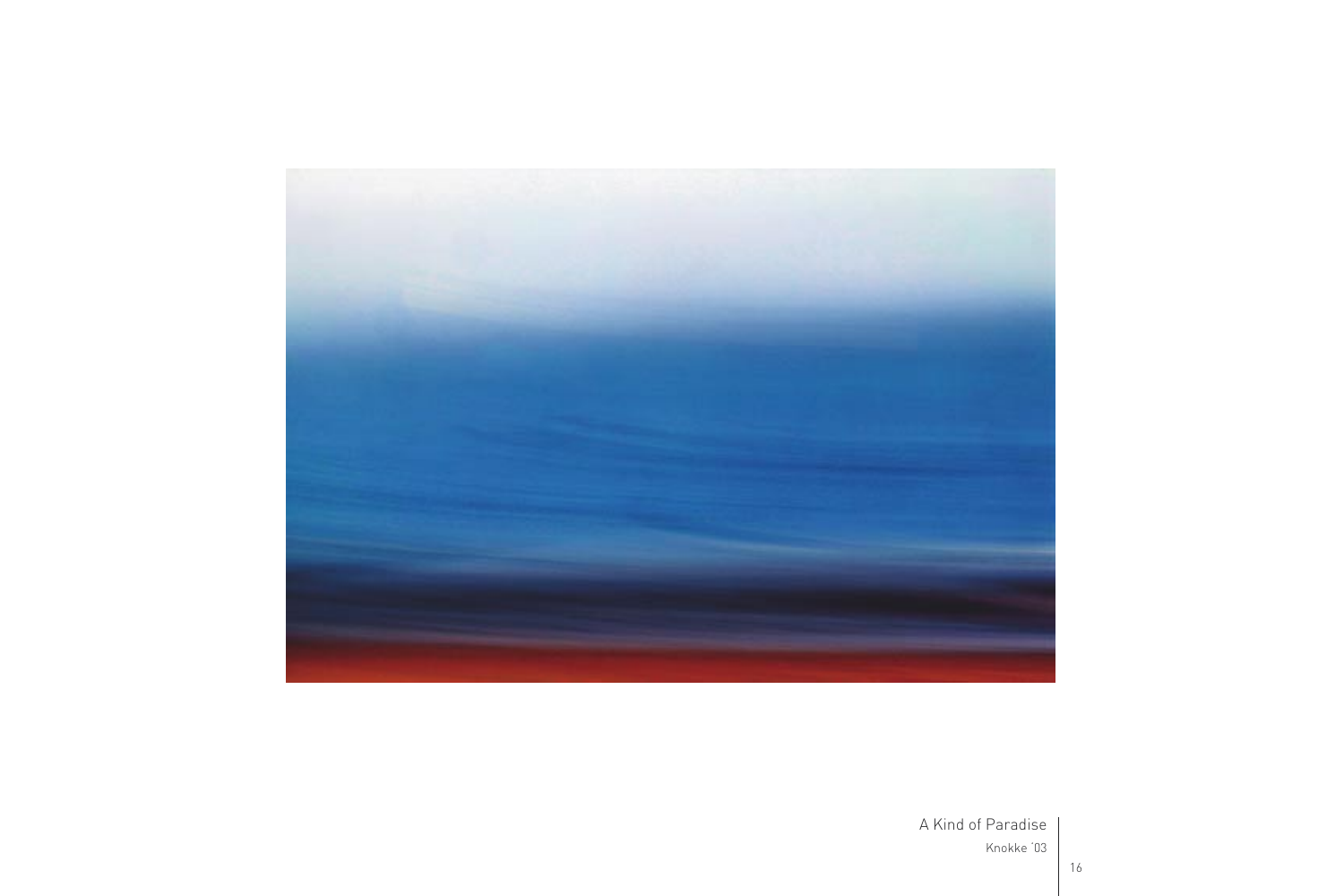

A Kind of Paradise Knokke '03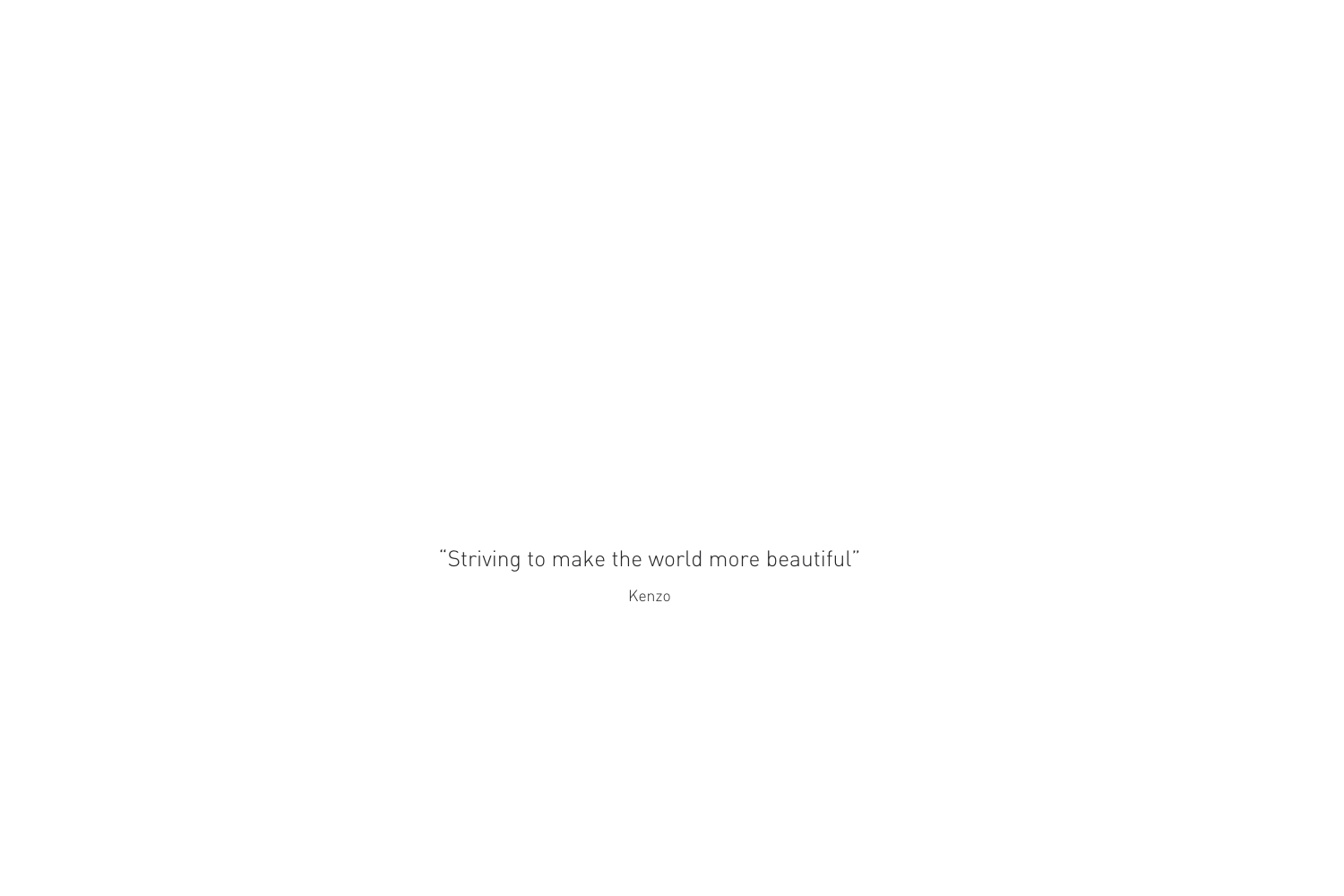"Striving to make the world more beautiful"

Kenzo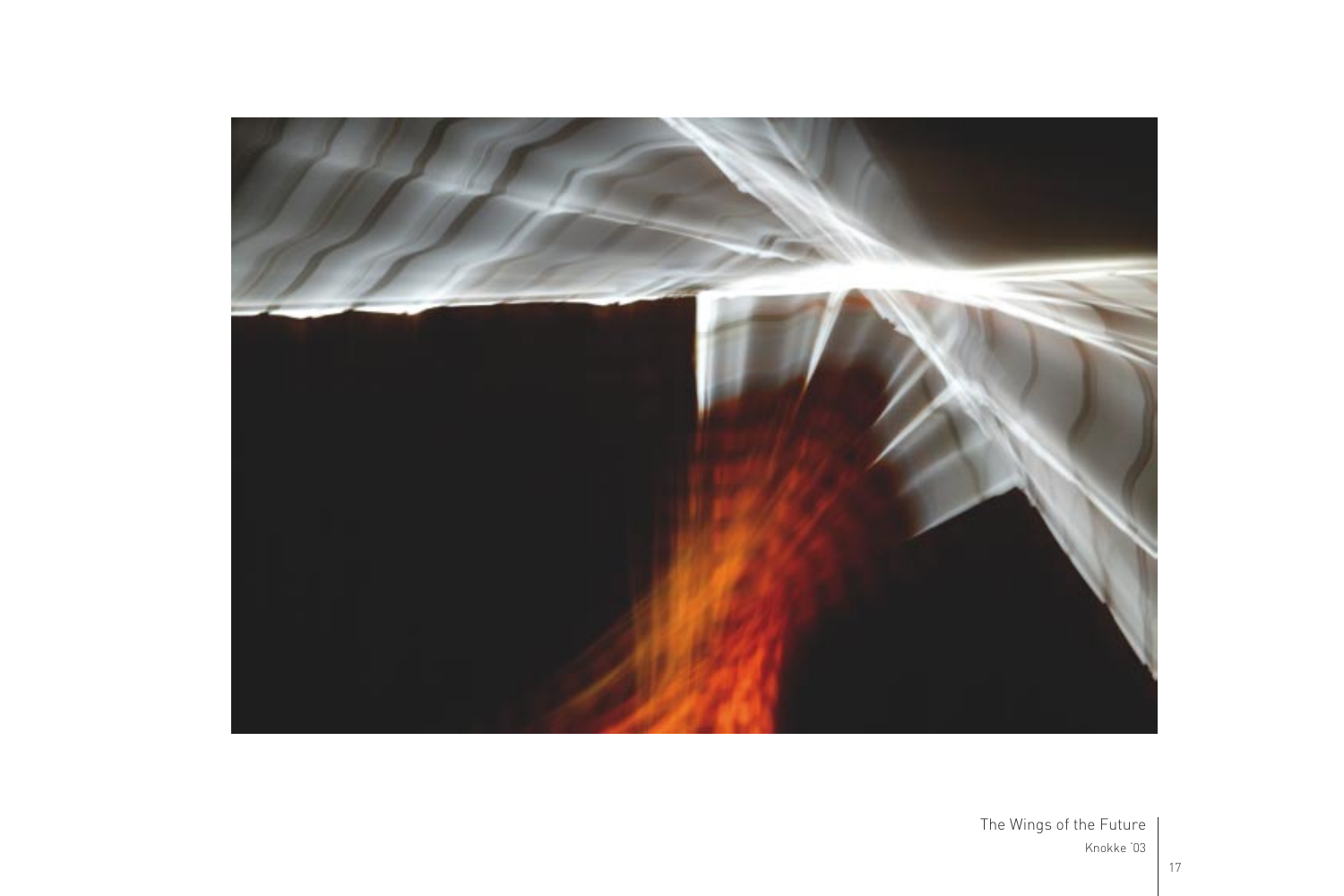

The Wings of the Future Knokke '03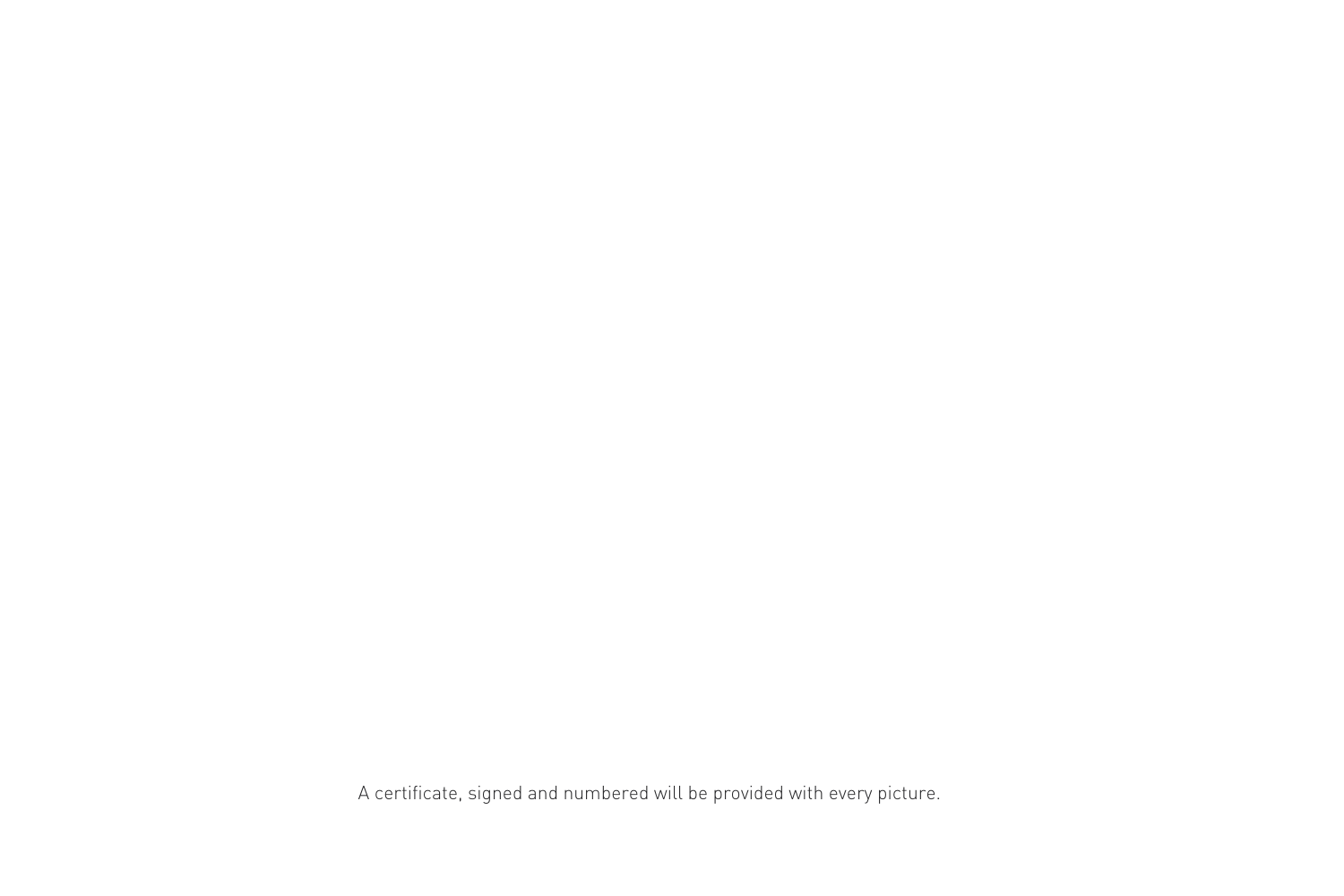A certificate, signed and numbered will be provided with every picture.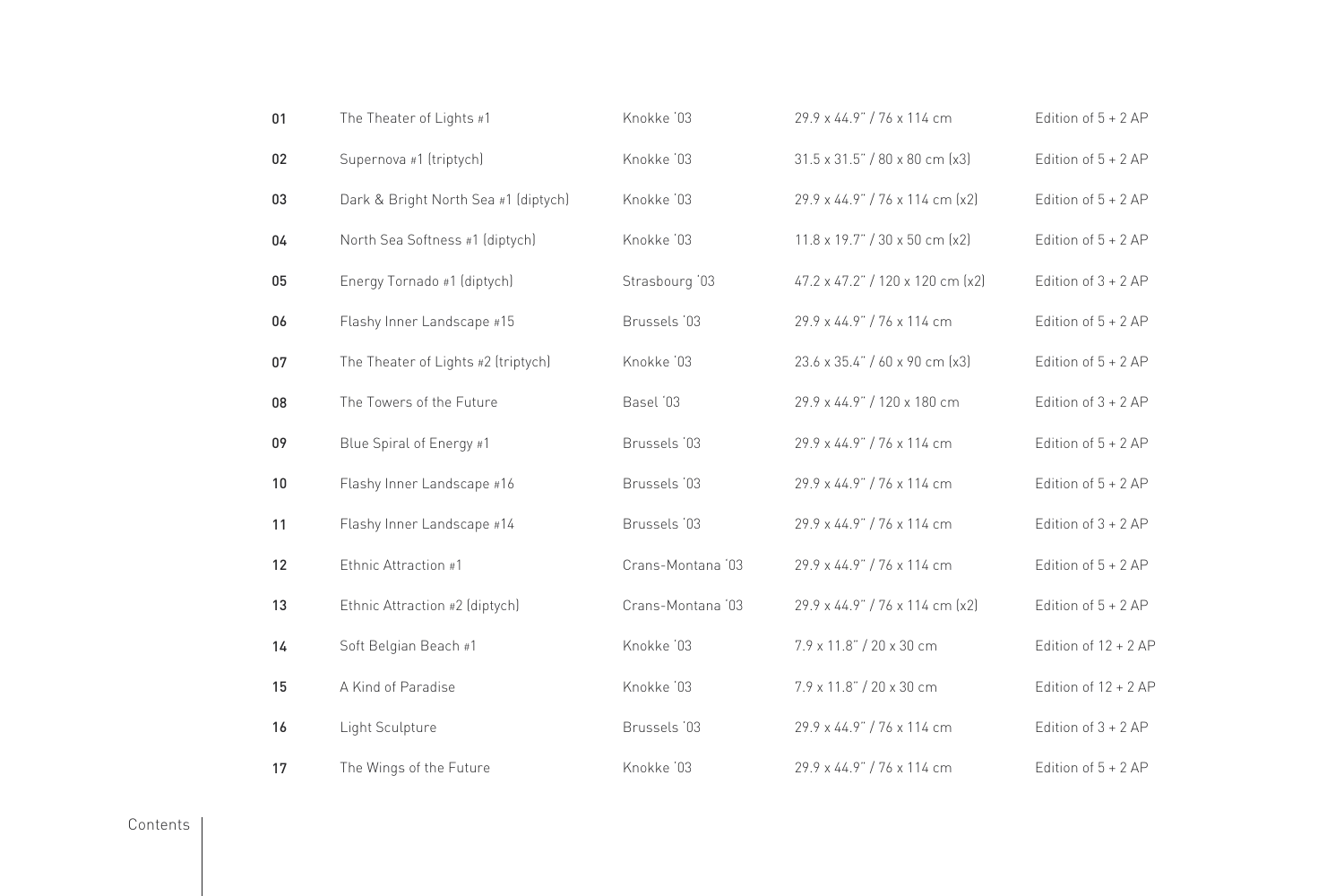| 01 | The Theater of Lights #1             | Knokke '03        | 29.9 x 44.9" / 76 x 114 cm       | Edition of 5 + 2 AP   |
|----|--------------------------------------|-------------------|----------------------------------|-----------------------|
| 02 | Supernova #1 (triptych)              | Knokke '03        | 31.5 x 31.5" / 80 x 80 cm [x3]   | Edition of $5 + 2 AP$ |
| 03 | Dark & Bright North Sea #1 (diptych) | Knokke '03        | 29.9 x 44.9" / 76 x 114 cm (x2)  | Edition of $5 + 2 AP$ |
| 04 | North Sea Softness #1 (diptych)      | Knokke '03        | 11.8 x 19.7" / 30 x 50 cm (x2)   | Edition of 5 + 2 AP   |
| 05 | Energy Tornado #1 (diptych)          | Strasbourg '03    | 47.2 x 47.2" / 120 x 120 cm (x2) | Edition of $3 + 2$ AP |
| 06 | Flashy Inner Landscape #15           | Brussels '03      | 29.9 x 44.9" / 76 x 114 cm       | Edition of $5 + 2 AP$ |
| 07 | The Theater of Lights #2 (triptych)  | Knokke '03        | 23.6 x 35.4" / 60 x 90 cm [x3]   | Edition of $5 + 2 AP$ |
| 08 | The Towers of the Future             | Basel '03         | 29.9 x 44.9" / 120 x 180 cm      | Edition of 3 + 2 AP   |
| 09 | Blue Spiral of Energy #1             | Brussels '03      | 29.9 x 44.9" / 76 x 114 cm       | Edition of $5 + 2 AP$ |
| 10 | Flashy Inner Landscape #16           | Brussels '03      | 29.9 x 44.9" / 76 x 114 cm       | Edition of $5 + 2 AP$ |
| 11 | Flashy Inner Landscape #14           | Brussels '03      | 29.9 x 44.9" / 76 x 114 cm       | Edition of $3 + 2$ AP |
| 12 | Ethnic Attraction #1                 | Crans-Montana '03 | 29.9 x 44.9" / 76 x 114 cm       | Edition of $5 + 2 AP$ |
| 13 | Ethnic Attraction #2 (diptych)       | Crans-Montana '03 | 29.9 x 44.9" / 76 x 114 cm (x2)  | Edition of $5 + 2 AP$ |
| 14 | Soft Belgian Beach #1                | Knokke '03        | 7.9 x 11.8" / 20 x 30 cm         | Edition of 12 + 2 AP  |
| 15 | A Kind of Paradise                   | Knokke '03        | 7.9 x 11.8" / 20 x 30 cm         | Edition of 12 + 2 AP  |
| 16 | Light Sculpture                      | Brussels '03      | 29.9 x 44.9" / 76 x 114 cm       | Edition of $3 + 2 AP$ |
| 17 | The Wings of the Future              | Knokke '03        | 29.9 x 44.9" / 76 x 114 cm       | Edition of $5 + 2 AP$ |

Contents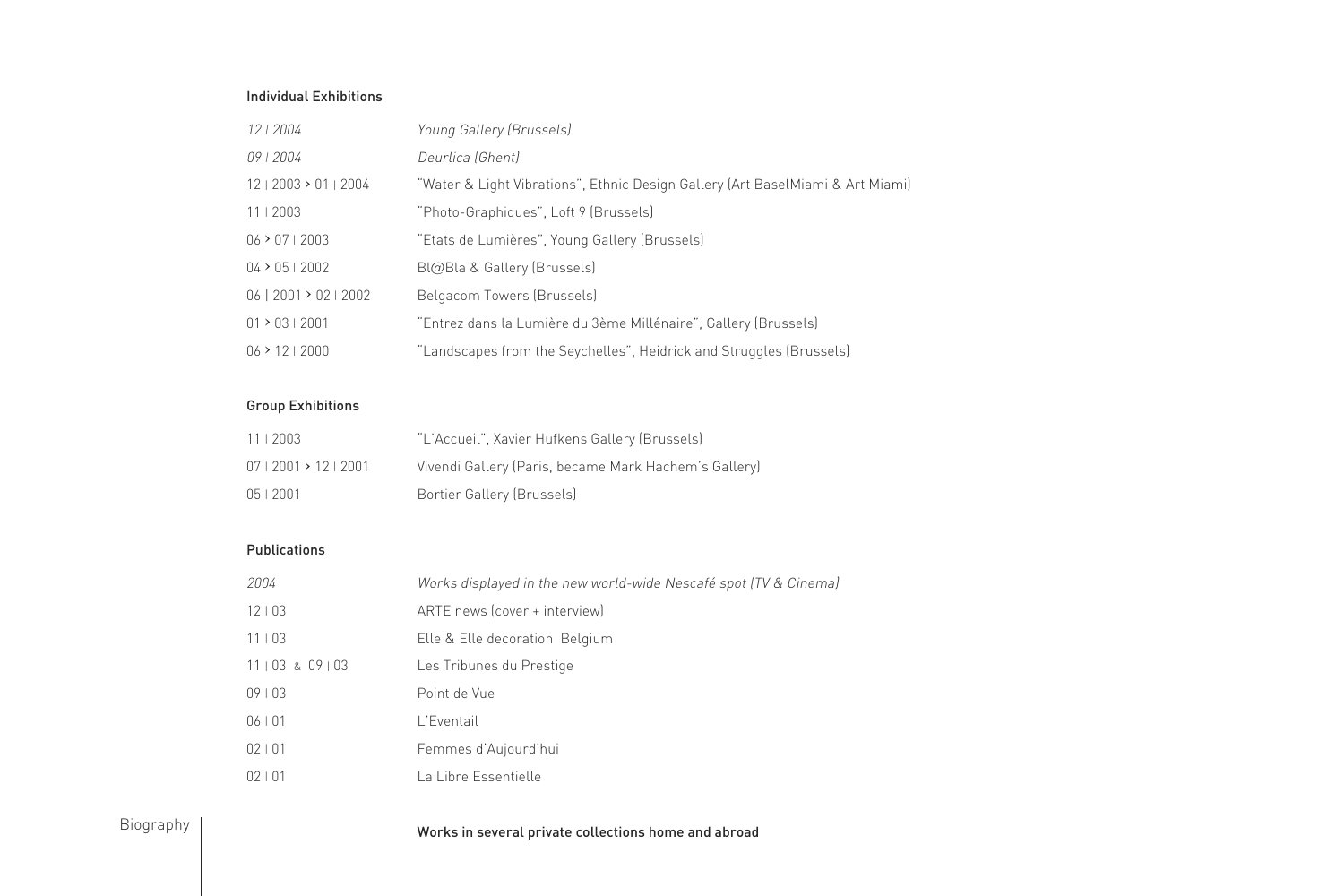#### Individual Exhibitions

| 12   2004                     | Young Gallery (Brussels)                                                       |
|-------------------------------|--------------------------------------------------------------------------------|
| 0912004                       | Deurlica (Ghent)                                                               |
| $12   2003 \rangle 01   2004$ | "Water & Light Vibrations", Ethnic Design Gallery (Art BaselMiami & Art Miami) |
| 1112003                       | "Photo-Graphiques", Loft 9 (Brussels)                                          |
| $06 \times 0712003$           | "Etats de Lumières", Young Gallery (Brussels)                                  |
| $04 \times 0512002$           | Bl@Bla & Gallery (Brussels)                                                    |
| $06$   2001 > 02   2002       | Belgacom Towers (Brussels)                                                     |
| 01 > 03   2001                | "Entrez dans la Lumière du 3ème Millénaire", Gallery (Brussels)                |
| $06 \times 1212000$           | "Landscapes from the Seychelles", Heidrick and Struggles (Brussels)            |

#### Group Exhibitions

| 11   2003                | "L'Accueil", Xavier Hufkens Gallery (Brussels)        |
|--------------------------|-------------------------------------------------------|
| $0712001 \times 1212001$ | Vivendi Gallery (Paris, became Mark Hachem's Gallery) |
| 05   2001                | Bortier Gallery (Brussels)                            |

#### Publications

| 2004                       | Works displayed in the new world-wide Nescafé spot (TV & Cinema) |
|----------------------------|------------------------------------------------------------------|
| 12   03                    | ARTE news (cover + interview)                                    |
| 11103                      | Elle & Elle decoration Belgium                                   |
| $11 \mid 03 \& 09 \mid 03$ | Les Tribunes du Prestige                                         |
| 09103                      | Point de Vue                                                     |
| 06101                      | L'Eventail                                                       |
| 02101                      | Femmes d'Aujourd'hui                                             |
| 02101                      | La Libre Essentielle                                             |
|                            |                                                                  |

### Biography | works in several private collections home and abroad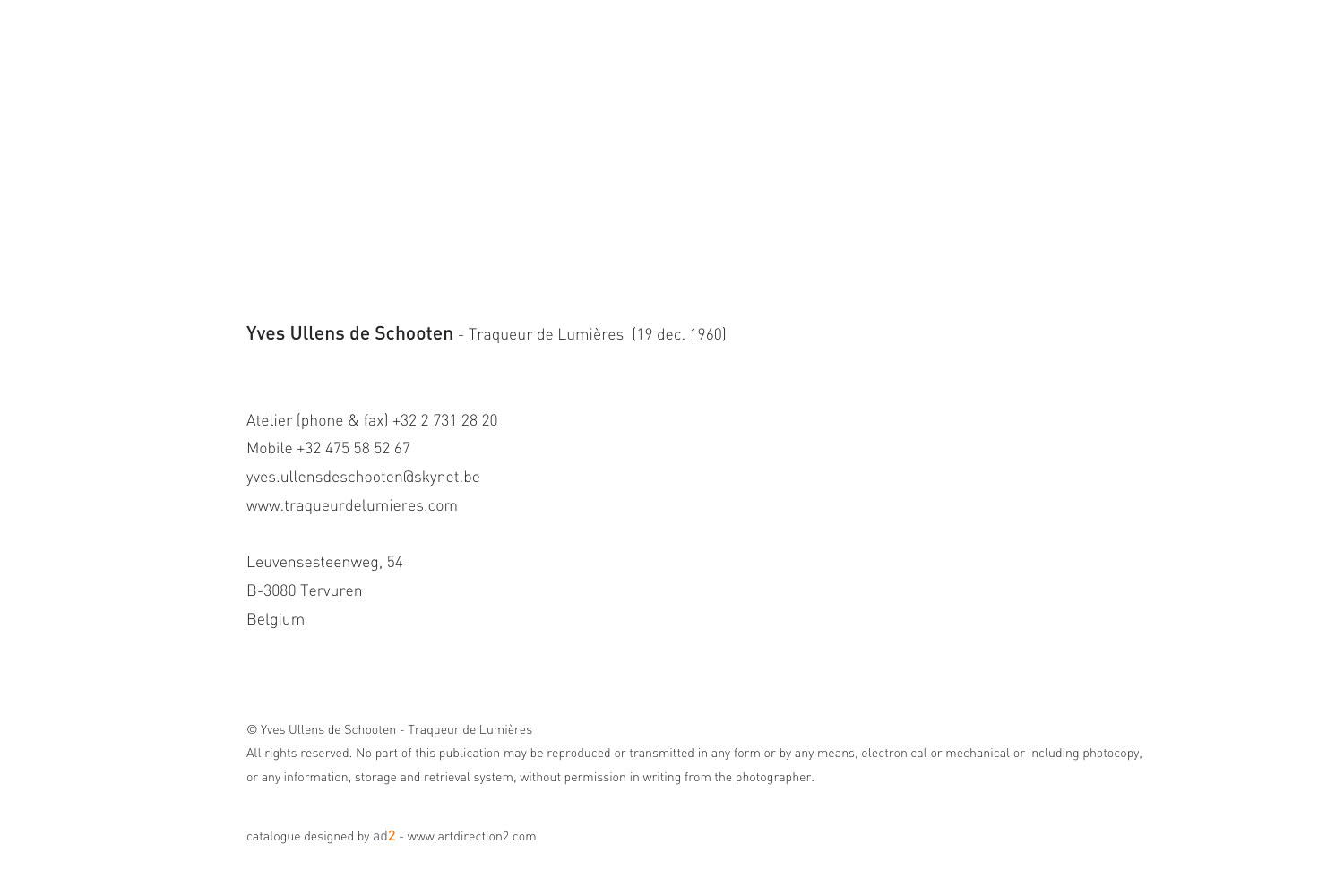#### Yves Ullens de Schooten - Traqueur de Lumières (19 dec. 1960)

Atelier (phone & fax) +32 2 731 28 20 Mobile +32 475 58 52 67 yves.ullensdeschooten@skynet.be www.traqueurdelumieres.com

Leuvensesteenweg, 54 B-3080 Tervuren Belgium

© Yves Ullens de Schooten - Traqueur de Lumières

All rights reserved. No part of this publication may be reproduced or transmitted in any form or by any means, electronical or mechanical or including photocopy, or any information, storage and retrieval system, without permission in writing from the photographer.